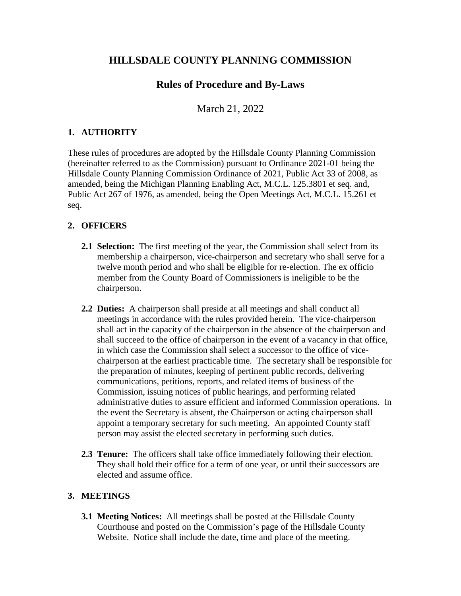# **HILLSDALE COUNTY PLANNING COMMISSION**

# **Rules of Procedure and By-Laws**

March 21, 2022

## **1. AUTHORITY**

These rules of procedures are adopted by the Hillsdale County Planning Commission (hereinafter referred to as the Commission) pursuant to Ordinance 2021-01 being the Hillsdale County Planning Commission Ordinance of 2021, Public Act 33 of 2008, as amended, being the Michigan Planning Enabling Act, M.C.L. 125.3801 et seq. and, Public Act 267 of 1976, as amended, being the Open Meetings Act, M.C.L. 15.261 et seq.

## **2. OFFICERS**

- **2.1 Selection:** The first meeting of the year, the Commission shall select from its membership a chairperson, vice-chairperson and secretary who shall serve for a twelve month period and who shall be eligible for re-election. The ex officio member from the County Board of Commissioners is ineligible to be the chairperson.
- **2.2 Duties:** A chairperson shall preside at all meetings and shall conduct all meetings in accordance with the rules provided herein. The vice-chairperson shall act in the capacity of the chairperson in the absence of the chairperson and shall succeed to the office of chairperson in the event of a vacancy in that office, in which case the Commission shall select a successor to the office of vicechairperson at the earliest practicable time. The secretary shall be responsible for the preparation of minutes, keeping of pertinent public records, delivering communications, petitions, reports, and related items of business of the Commission, issuing notices of public hearings, and performing related administrative duties to assure efficient and informed Commission operations. In the event the Secretary is absent, the Chairperson or acting chairperson shall appoint a temporary secretary for such meeting. An appointed County staff person may assist the elected secretary in performing such duties.
- **2.3 Tenure:** The officers shall take office immediately following their election. They shall hold their office for a term of one year, or until their successors are elected and assume office.

## **3. MEETINGS**

**3.1 Meeting Notices:** All meetings shall be posted at the Hillsdale County Courthouse and posted on the Commission's page of the Hillsdale County Website. Notice shall include the date, time and place of the meeting.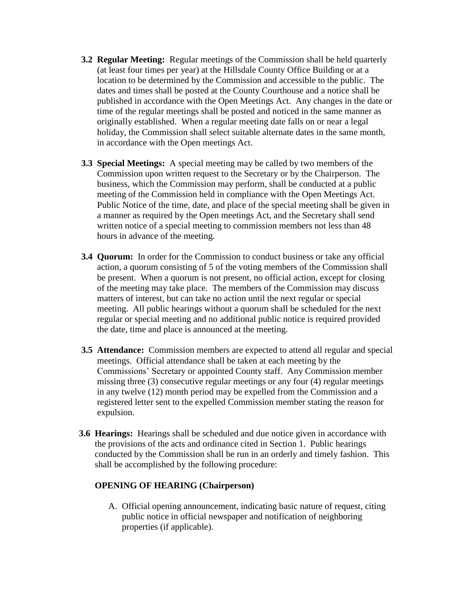- **3.2 Regular Meeting:** Regular meetings of the Commission shall be held quarterly (at least four times per year) at the Hillsdale County Office Building or at a location to be determined by the Commission and accessible to the public. The dates and times shall be posted at the County Courthouse and a notice shall be published in accordance with the Open Meetings Act. Any changes in the date or time of the regular meetings shall be posted and noticed in the same manner as originally established. When a regular meeting date falls on or near a legal holiday, the Commission shall select suitable alternate dates in the same month, in accordance with the Open meetings Act.
- **3.3 Special Meetings:** A special meeting may be called by two members of the Commission upon written request to the Secretary or by the Chairperson. The business, which the Commission may perform, shall be conducted at a public meeting of the Commission held in compliance with the Open Meetings Act. Public Notice of the time, date, and place of the special meeting shall be given in a manner as required by the Open meetings Act, and the Secretary shall send written notice of a special meeting to commission members not less than 48 hours in advance of the meeting.
- **3.4 Quorum:** In order for the Commission to conduct business or take any official action, a quorum consisting of 5 of the voting members of the Commission shall be present. When a quorum is not present, no official action, except for closing of the meeting may take place. The members of the Commission may discuss matters of interest, but can take no action until the next regular or special meeting. All public hearings without a quorum shall be scheduled for the next regular or special meeting and no additional public notice is required provided the date, time and place is announced at the meeting.
- **3.5 Attendance:** Commission members are expected to attend all regular and special meetings. Official attendance shall be taken at each meeting by the Commissions' Secretary or appointed County staff. Any Commission member missing three (3) consecutive regular meetings or any four (4) regular meetings in any twelve (12) month period may be expelled from the Commission and a registered letter sent to the expelled Commission member stating the reason for expulsion.
- **3.6 Hearings:** Hearings shall be scheduled and due notice given in accordance with the provisions of the acts and ordinance cited in Section 1. Public hearings conducted by the Commission shall be run in an orderly and timely fashion. This shall be accomplished by the following procedure:

#### **OPENING OF HEARING (Chairperson)**

A. Official opening announcement, indicating basic nature of request, citing public notice in official newspaper and notification of neighboring properties (if applicable).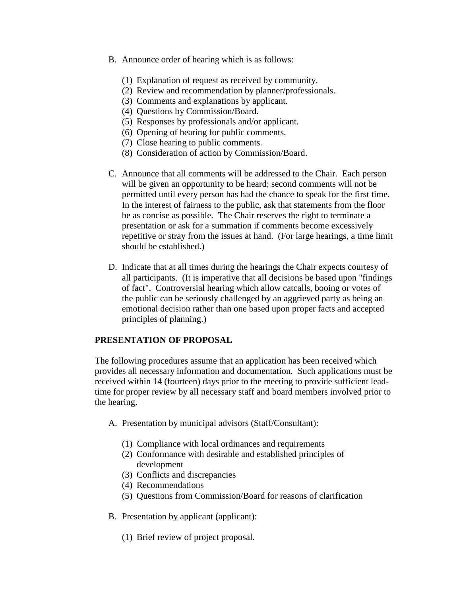- B. Announce order of hearing which is as follows:
	- (1) Explanation of request as received by community.
	- (2) Review and recommendation by planner/professionals.
	- (3) Comments and explanations by applicant.
	- (4) Questions by Commission/Board.
	- (5) Responses by professionals and/or applicant.
	- (6) Opening of hearing for public comments.
	- (7) Close hearing to public comments.
	- (8) Consideration of action by Commission/Board.
- C. Announce that all comments will be addressed to the Chair. Each person will be given an opportunity to be heard; second comments will not be permitted until every person has had the chance to speak for the first time. In the interest of fairness to the public, ask that statements from the floor be as concise as possible. The Chair reserves the right to terminate a presentation or ask for a summation if comments become excessively repetitive or stray from the issues at hand. (For large hearings, a time limit should be established.)
- D. Indicate that at all times during the hearings the Chair expects courtesy of all participants. (It is imperative that all decisions be based upon "findings of fact". Controversial hearing which allow catcalls, booing or votes of the public can be seriously challenged by an aggrieved party as being an emotional decision rather than one based upon proper facts and accepted principles of planning.)

#### **PRESENTATION OF PROPOSAL**

The following procedures assume that an application has been received which provides all necessary information and documentation. Such applications must be received within 14 (fourteen) days prior to the meeting to provide sufficient leadtime for proper review by all necessary staff and board members involved prior to the hearing.

- A. Presentation by municipal advisors (Staff/Consultant):
	- (1) Compliance with local ordinances and requirements
	- (2) Conformance with desirable and established principles of development
	- (3) Conflicts and discrepancies
	- (4) Recommendations
	- (5) Questions from Commission/Board for reasons of clarification
- B. Presentation by applicant (applicant):
	- (1) Brief review of project proposal.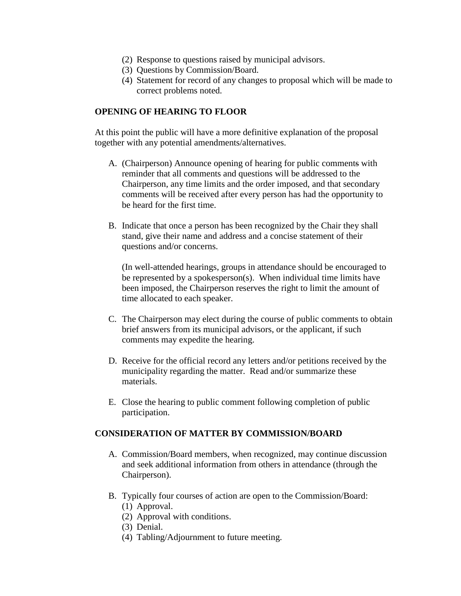- (2) Response to questions raised by municipal advisors.
- (3) Questions by Commission/Board.
- (4) Statement for record of any changes to proposal which will be made to correct problems noted.

#### **OPENING OF HEARING TO FLOOR**

At this point the public will have a more definitive explanation of the proposal together with any potential amendments/alternatives.

- A. (Chairperson) Announce opening of hearing for public comments with reminder that all comments and questions will be addressed to the Chairperson, any time limits and the order imposed, and that secondary comments will be received after every person has had the opportunity to be heard for the first time.
- B. Indicate that once a person has been recognized by the Chair they shall stand, give their name and address and a concise statement of their questions and/or concerns.

(In well-attended hearings, groups in attendance should be encouraged to be represented by a spokesperson(s). When individual time limits have been imposed, the Chairperson reserves the right to limit the amount of time allocated to each speaker.

- C. The Chairperson may elect during the course of public comments to obtain brief answers from its municipal advisors, or the applicant, if such comments may expedite the hearing.
- D. Receive for the official record any letters and/or petitions received by the municipality regarding the matter. Read and/or summarize these materials.
- E. Close the hearing to public comment following completion of public participation.

#### **CONSIDERATION OF MATTER BY COMMISSION/BOARD**

- A. Commission/Board members, when recognized, may continue discussion and seek additional information from others in attendance (through the Chairperson).
- B. Typically four courses of action are open to the Commission/Board:
	- (1) Approval.
	- (2) Approval with conditions.
	- (3) Denial.
	- (4) Tabling/Adjournment to future meeting.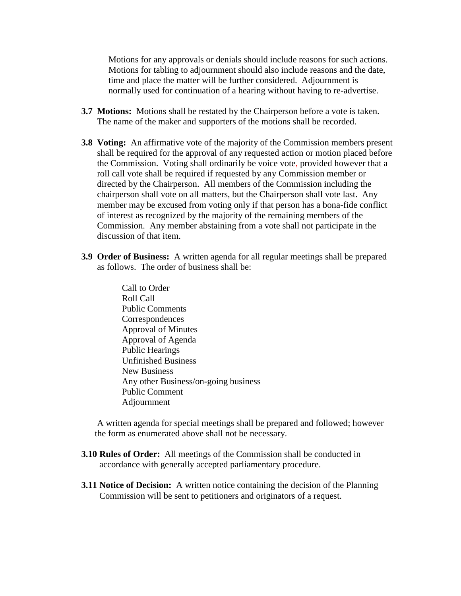Motions for any approvals or denials should include reasons for such actions. Motions for tabling to adjournment should also include reasons and the date, time and place the matter will be further considered. Adjournment is normally used for continuation of a hearing without having to re-advertise.

- **3.7 Motions:** Motions shall be restated by the Chairperson before a vote is taken. The name of the maker and supporters of the motions shall be recorded.
- **3.8 Voting:** An affirmative vote of the majority of the Commission members present shall be required for the approval of any requested action or motion placed before the Commission. Voting shall ordinarily be voice vote, provided however that a roll call vote shall be required if requested by any Commission member or directed by the Chairperson. All members of the Commission including the chairperson shall vote on all matters, but the Chairperson shall vote last. Any member may be excused from voting only if that person has a bona-fide conflict of interest as recognized by the majority of the remaining members of the Commission. Any member abstaining from a vote shall not participate in the discussion of that item.
- **3.9 Order of Business:** A written agenda for all regular meetings shall be prepared as follows. The order of business shall be:
	- Call to Order Roll Call Public Comments Correspondences Approval of Minutes Approval of Agenda Public Hearings Unfinished Business New Business Any other Business/on-going business Public Comment Adjournment

A written agenda for special meetings shall be prepared and followed; however the form as enumerated above shall not be necessary.

- **3.10 Rules of Order:** All meetings of the Commission shall be conducted in accordance with generally accepted parliamentary procedure.
- **3.11 Notice of Decision:** A written notice containing the decision of the Planning Commission will be sent to petitioners and originators of a request.